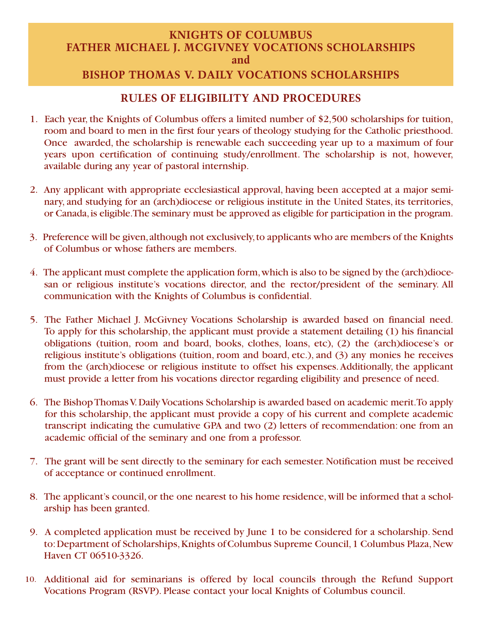### **KNIGHTS OF COLUMBUS FATHER MICHAEL J. MCGIVNEY VOCATIONS SCHOLARSHIPS and**

# **BISHOP THOMAS V. DAILY VOCATIONS SCHOLARSHIPS**

# **RULES OF ELIGIBILITY AND PROCEDURES**

- 1. Each year, the Knights of Columbus offers a limited number of \$2,500 scholarships for tuition, room and board to men in the first four years of theology studying for the Catholic priesthood. Once awarded, the scholarship is renewable each succeeding year up to a maximum of four years upon certification of continuing study/enrollment. The scholarship is not, however, available during any year of pastoral internship.
- 2. Any applicant with appropriate ecclesiastical approval, having been accepted at a major seminary, and studying for an (arch)diocese or religious institute in the United States, its territories, or Canada, is eligible. The seminary must be approved as eligible for participation in the program.
- 3. Preference will be given, although not exclusively, to applicants who are members of the Knights of Columbus or whose fathers are members.
- 4. The applicant must complete the application form, which is also to be signed by the (arch)diocesan or religious institute's vocations director, and the rector/president of the seminary. All communication with the Knights of Columbus is confidential.
- 5. The Father Michael J. McGivney Vocations Scholarship is awarded based on financial need. To apply for this scholarship, the applicant must provide a statement detailing (1) his financial obligations (tuition, room and board, books, clothes, loans, etc), (2) the (arch)diocese's or religious institute's obligations (tuition, room and board, etc.), and (3) any monies he receives from the (arch)diocese or religious institute to offset his expenses. Additionally, the applicant must provide a letter from his vocations director regarding eligibility and presence of need.
- 6. The Bishop Thomas V. Daily Vocations Scholarship is awarded based on academic merit. To apply for this scholarship, the applicant must provide a copy of his current and complete academic transcript indicating the cumulative GPA and two (2) letters of recommendation: one from an academic official of the seminary and one from a professor.
- 7. The grant will be sent directly to the seminary for each semester. Notification must be received of acceptance or continued enrollment.
- 8. The applicant's council, or the one nearest to his home residence, will be informed that a scholarship has been granted.
- 9. A completed application must be received by June 1 to be considered for a scholarship. Send to: Department of Scholarships, Knights of Columbus Supreme Council, 1 Columbus Plaza, New Haven CT 06510-3326.
- Additional aid for seminarians is offered by local councils through the Refund Support 10. Vocations Program (RSVP). Please contact your local Knights of Columbus council.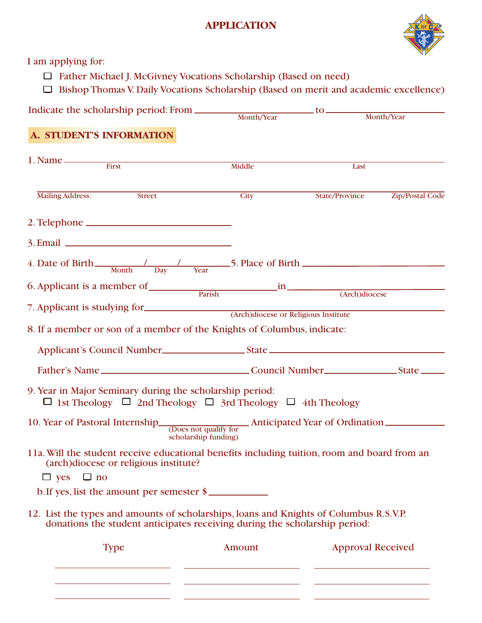## **APPLICATION**



I am applying for:

- Father Michael J. McGivney Vocations Scholarship (Based on need)
- $\Box$  Bishop Thomas V. Daily Vocations Scholarship (Based on merit and academic excellence)

Indicate the scholarship period: From to Month/Year Month/Year

### **A. STUDENT'S INFORMATION**

|                                                                                                                                                    | Middle               | Last           |                        |  |  |
|----------------------------------------------------------------------------------------------------------------------------------------------------|----------------------|----------------|------------------------|--|--|
| <b>Mailing Address:</b><br>Street                                                                                                                  | City                 | State/Province | <b>Zip/Postal Code</b> |  |  |
|                                                                                                                                                    |                      |                |                        |  |  |
|                                                                                                                                                    |                      |                |                        |  |  |
| 4. Date of Birth $\frac{1}{\text{Month}}$ $\frac{1}{\text{Day}}$ $\frac{1}{\text{Year}}$ 5. Place of Birth $\frac{1}{\text{Day}}$                  |                      |                |                        |  |  |
| 6. Applicant is a member of <u>Parish and in Carch</u> (Arch)diocese                                                                               |                      |                |                        |  |  |
| 7. Applicant is studying for CATCH (Arch)diocese or Religious Institute<br>8. If a member or son of a member of the Knights of Columbus, indicate: |                      |                |                        |  |  |
|                                                                                                                                                    |                      |                |                        |  |  |
|                                                                                                                                                    |                      |                |                        |  |  |
| 9. Year in Major Seminary during the scholarship period:<br>$\Box$ 1st Theology $\Box$ 2nd Theology $\Box$ 3rd Theology $\Box$ 4th Theology        |                      |                |                        |  |  |
| 10. Year of Pastoral Internship<br>Coes not qualify for<br>Anticipated Year of Ordination                                                          | scholarship funding) |                |                        |  |  |
| 11a. Will the student receive educational benefits including tuition, room and board from an<br>(arch)diocese or religious institute?              |                      |                |                        |  |  |
| $\Box$ yes $\Box$ no                                                                                                                               |                      |                |                        |  |  |
| b. If yes, list the amount per semester \$                                                                                                         |                      |                |                        |  |  |
| 12. List the types and amounts of scholarships, loans and Knights of Columbus R.S.V.P.                                                             |                      |                |                        |  |  |
| donations the student anticipates receiving during the scholarship period:                                                                         |                      |                |                        |  |  |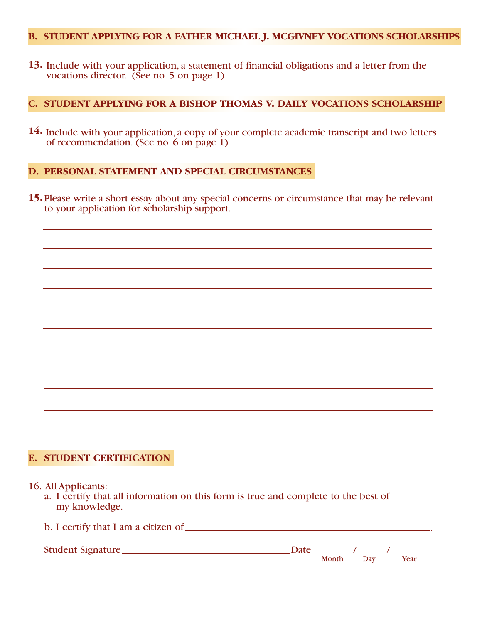#### **B. STUDENT APPLYING FOR A FATHER MICHAEL J. MCGIVNEY VOCATIONS SCHOLARSHIPS**

**13.** Include with your application, a statement of financial obligations and a letter from the vocations director. (See no. 5 on page 1)

#### **C. STUDENT APPLYING FOR A BISHOP THOMAS V. DAILY VOCATIONS SCHOLARSHIP**

**14.** Include with your application, a copy of your complete academic transcript and two letters of recommendation. (See no. 6 on page 1)

#### **D. PERSONAL STATEMENT AND SPECIAL CIRCUMSTANCES**

**15.** Please write a short essay about any special concerns or circumstance that may be relevant to your application for scholarship support.

### **E. STUDENT CERTIFICATION**

b. I certify that I am a citizen of .

- 16. All Applicants:
	- a. I certify that all information on this form is true and complete to the best of my knowledge.

| Month | Day   | Year |
|-------|-------|------|
|       | Date. |      |